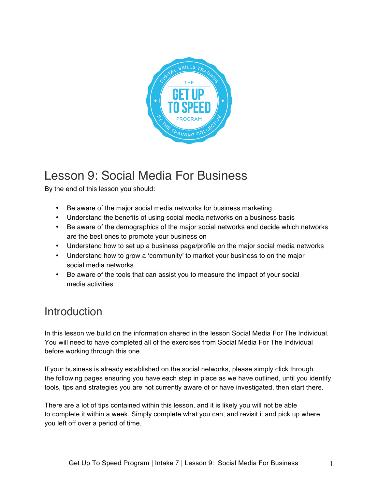

# Lesson 9: Social Media For Business

By the end of this lesson you should:

- Be aware of the major social media networks for business marketing
- Understand the benefits of using social media networks on a business basis
- Be aware of the demographics of the major social networks and decide which networks are the best ones to promote your business on
- Understand how to set up a business page/profile on the major social media networks
- Understand how to grow a 'community' to market your business to on the major social media networks
- Be aware of the tools that can assist you to measure the impact of your social media activities

## Introduction

In this lesson we build on the information shared in the lesson Social Media For The Individual. You will need to have completed all of the exercises from Social Media For The Individual before working through this one.

If your business is already established on the social networks, please simply click through the following pages ensuring you have each step in place as we have outlined, until you identify tools, tips and strategies you are not currently aware of or have investigated, then start there.

There are a lot of tips contained within this lesson, and it is likely you will not be able to complete it within a week. Simply complete what you can, and revisit it and pick up where you left off over a period of time.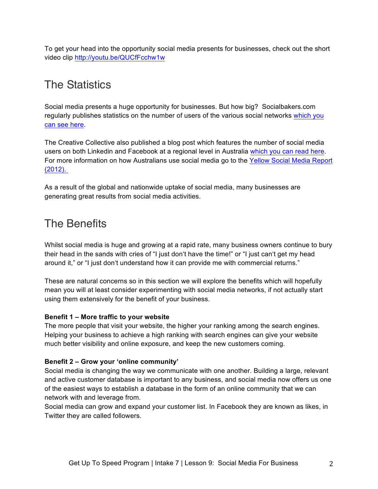To get your head into the opportunity social media presents for businesses, check out the short video clip http://youtu.be/QUCfFcchw1w

# The Statistics

Social media presents a huge opportunity for businesses. But how big? Socialbakers.com regularly publishes statistics on the number of users of the various social networks which you can see here.

The Creative Collective also published a blog post which features the number of social media users on both Linkedin and Facebook at a regional level in Australia which you can read here. For more information on how Australians use social media go to the Yellow Social Media Report (2012).

As a result of the global and nationwide uptake of social media, many businesses are generating great results from social media activities.

## The Benefits

Whilst social media is huge and growing at a rapid rate, many business owners continue to bury their head in the sands with cries of "I just don't have the time!" or "I just can't get my head around it," or "I just don't understand how it can provide me with commercial returns."

These are natural concerns so in this section we will explore the benefits which will hopefully mean you will at least consider experimenting with social media networks, if not actually start using them extensively for the benefit of your business.

### **Benefit 1 – More traffic to your website**

The more people that visit your website, the higher your ranking among the search engines. Helping your business to achieve a high ranking with search engines can give your website much better visibility and online exposure, and keep the new customers coming.

### **Benefit 2 – Grow your 'online community'**

Social media is changing the way we communicate with one another. Building a large, relevant and active customer database is important to any business, and social media now offers us one of the easiest ways to establish a database in the form of an online community that we can network with and leverage from.

Social media can grow and expand your customer list. In Facebook they are known as likes, in Twitter they are called followers.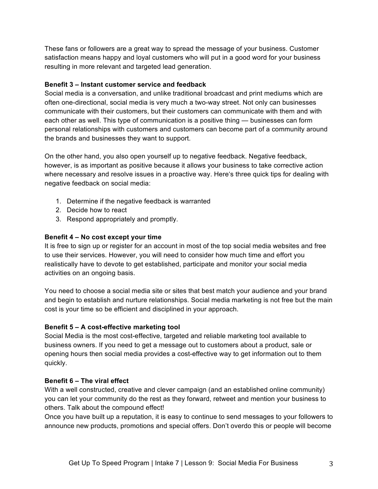These fans or followers are a great way to spread the message of your business. Customer satisfaction means happy and loyal customers who will put in a good word for your business resulting in more relevant and targeted lead generation.

### **Benefit 3 – Instant customer service and feedback**

Social media is a conversation, and unlike traditional broadcast and print mediums which are often one-directional, social media is very much a two-way street. Not only can businesses communicate with their customers, but their customers can communicate with them and with each other as well. This type of communication is a positive thing — businesses can form personal relationships with customers and customers can become part of a community around the brands and businesses they want to support.

On the other hand, you also open yourself up to negative feedback. Negative feedback, however, is as important as positive because it allows your business to take corrective action where necessary and resolve issues in a proactive way. Here's three quick tips for dealing with negative feedback on social media:

- 1. Determine if the negative feedback is warranted
- 2. Decide how to react
- 3. Respond appropriately and promptly.

### **Benefit 4 – No cost except your time**

It is free to sign up or register for an account in most of the top social media websites and free to use their services. However, you will need to consider how much time and effort you realistically have to devote to get established, participate and monitor your social media activities on an ongoing basis.

You need to choose a social media site or sites that best match your audience and your brand and begin to establish and nurture relationships. Social media marketing is not free but the main cost is your time so be efficient and disciplined in your approach.

#### **Benefit 5 – A cost-effective marketing tool**

Social Media is the most cost-effective, targeted and reliable marketing tool available to business owners. If you need to get a message out to customers about a product, sale or opening hours then social media provides a cost-effective way to get information out to them quickly.

### **Benefit 6 – The viral effect**

With a well constructed, creative and clever campaign (and an established online community) you can let your community do the rest as they forward, retweet and mention your business to others. Talk about the compound effect!

Once you have built up a reputation, it is easy to continue to send messages to your followers to announce new products, promotions and special offers. Don't overdo this or people will become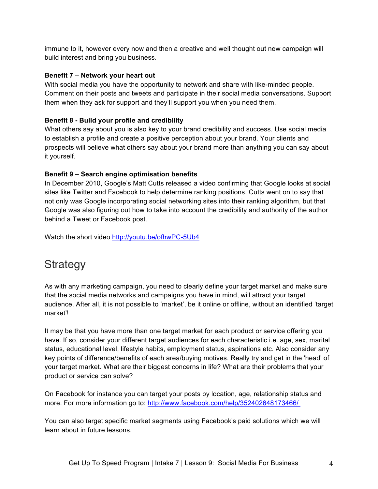immune to it, however every now and then a creative and well thought out new campaign will build interest and bring you business.

### **Benefit 7 – Network your heart out**

With social media you have the opportunity to network and share with like-minded people. Comment on their posts and tweets and participate in their social media conversations. Support them when they ask for support and they'll support you when you need them.

### **Benefit 8 - Build your profile and credibility**

What others say about you is also key to your brand credibility and success. Use social media to establish a profile and create a positive perception about your brand. Your clients and prospects will believe what others say about your brand more than anything you can say about it yourself.

### **Benefit 9 – Search engine optimisation benefits**

In December 2010, Google's Matt Cutts released a video confirming that Google looks at social sites like Twitter and Facebook to help determine ranking positions. Cutts went on to say that not only was Google incorporating social networking sites into their ranking algorithm, but that Google was also figuring out how to take into account the credibility and authority of the author behind a Tweet or Facebook post.

Watch the short video http://youtu.be/ofhwPC-5Ub4

### **Strategy**

As with any marketing campaign, you need to clearly define your target market and make sure that the social media networks and campaigns you have in mind, will attract your target audience. After all, it is not possible to 'market', be it online or offline, without an identified 'target market'!

It may be that you have more than one target market for each product or service offering you have. If so, consider your different target audiences for each characteristic i.e. age, sex, marital status, educational level, lifestyle habits, employment status, aspirations etc. Also consider any key points of difference/benefits of each area/buying motives. Really try and get in the 'head' of your target market. What are their biggest concerns in life? What are their problems that your product or service can solve?

On Facebook for instance you can target your posts by location, age, relationship status and more. For more information go to: http://www.facebook.com/help/352402648173466/

You can also target specific market segments using Facebook's paid solutions which we will learn about in future lessons.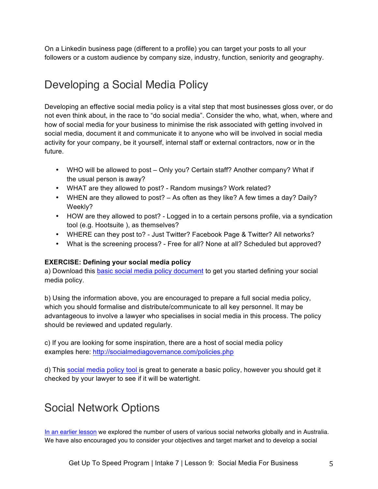On a Linkedin business page (different to a profile) you can target your posts to all your followers or a custom audience by company size, industry, function, seniority and geography.

# Developing a Social Media Policy

Developing an effective social media policy is a vital step that most businesses gloss over, or do not even think about, in the race to "do social media". Consider the who, what, when, where and how of social media for your business to minimise the risk associated with getting involved in social media, document it and communicate it to anyone who will be involved in social media activity for your company, be it yourself, internal staff or external contractors, now or in the future.

- WHO will be allowed to post Only you? Certain staff? Another company? What if the usual person is away?
- WHAT are they allowed to post? Random musings? Work related?
- WHEN are they allowed to post? As often as they like? A few times a day? Daily? Weekly?
- HOW are they allowed to post? Logged in to a certain persons profile, via a syndication tool (e.g. Hootsuite ), as themselves?
- WHERE can they post to? Just Twitter? Facebook Page & Twitter? All networks?
- What is the screening process? Free for all? None at all? Scheduled but approved?

### **EXERCISE: Defining your social media policy**

a) Download this basic social media policy document to get you started defining your social media policy.

b) Using the information above, you are encouraged to prepare a full social media policy, which you should formalise and distribute/communicate to all key personnel. It may be advantageous to involve a lawyer who specialises in social media in this process. The policy should be reviewed and updated regularly.

c) If you are looking for some inspiration, there are a host of social media policy examples here: http://socialmediagovernance.com/policies.php

d) This social media policy tool is great to generate a basic policy, however you should get it checked by your lawyer to see if it will be watertight.

# Social Network Options

In an earlier lesson we explored the number of users of various social networks globally and in Australia. We have also encouraged you to consider your objectives and target market and to develop a social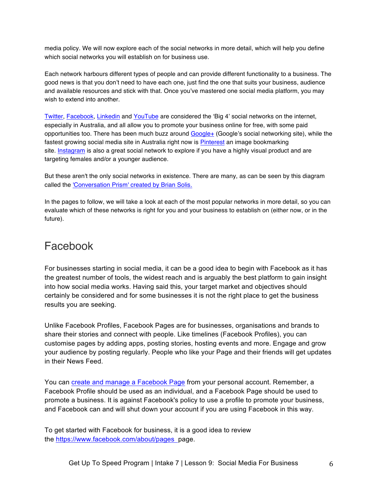media policy. We will now explore each of the social networks in more detail, which will help you define which social networks you will establish on for business use.

Each network harbours different types of people and can provide different functionality to a business. The good news is that you don't need to have each one, just find the one that suits your business, audience and available resources and stick with that. Once you've mastered one social media platform, you may wish to extend into another.

Twitter, Facebook, Linkedin and YouTube are considered the 'Big 4' social networks on the internet, especially in Australia, and all allow you to promote your business online for free, with some paid opportunities too. There has been much buzz around Google+ (Google's social networking site), while the fastest growing social media site in Australia right now is Pinterest an image bookmarking site. Instagram is also a great social network to explore if you have a highly visual product and are targeting females and/or a younger audience.

But these aren't the only social networks in existence. There are many, as can be seen by this diagram called the 'Conversation Prism' created by Brian Solis.

In the pages to follow, we will take a look at each of the most popular networks in more detail, so you can evaluate which of these networks is right for you and your business to establish on (either now, or in the future).

### Facebook

For businesses starting in social media, it can be a good idea to begin with Facebook as it has the greatest number of tools, the widest reach and is arguably the best platform to gain insight into how social media works. Having said this, your target market and objectives should certainly be considered and for some businesses it is not the right place to get the business results you are seeking.

Unlike Facebook Profiles, Facebook Pages are for businesses, organisations and brands to share their stories and connect with people. Like timelines (Facebook Profiles), you can customise pages by adding apps, posting stories, hosting events and more. Engage and grow your audience by posting regularly. People who like your Page and their friends will get updates in their News Feed.

You can create and manage a Facebook Page from your personal account. Remember, a Facebook Profile should be used as an individual, and a Facebook Page should be used to promote a business. It is against Facebook's policy to use a profile to promote your business, and Facebook can and will shut down your account if you are using Facebook in this way.

To get started with Facebook for business, it is a good idea to review the https://www.facebook.com/about/pages page.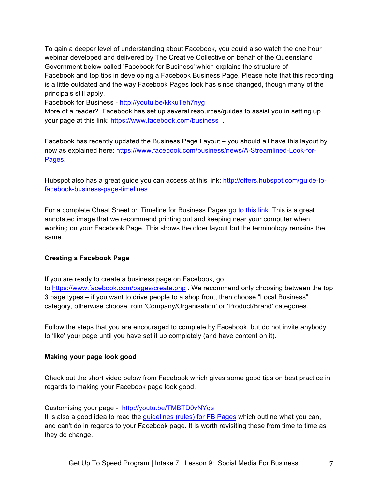To gain a deeper level of understanding about Facebook, you could also watch the one hour webinar developed and delivered by The Creative Collective on behalf of the Queensland Government below called 'Facebook for Business' which explains the structure of Facebook and top tips in developing a Facebook Business Page. Please note that this recording is a little outdated and the way Facebook Pages look has since changed, though many of the principals still apply.

Facebook for Business - http://youtu.be/kkkuTeh7nyg

More of a reader? Facebook has set up several resources/guides to assist you in setting up your page at this link: https://www.facebook.com/business .

Facebook has recently updated the Business Page Layout – you should all have this layout by now as explained here: https://www.facebook.com/business/news/A-Streamlined-Look-for-Pages.

Hubspot also has a great guide you can access at this link: http://offers.hubspot.com/guide-tofacebook-business-page-timelines

For a complete Cheat Sheet on Timeline for Business Pages go to this link. This is a great annotated image that we recommend printing out and keeping near your computer when working on your Facebook Page. This shows the older layout but the terminology remains the same.

#### **Creating a Facebook Page**

If you are ready to create a business page on Facebook, go to https://www.facebook.com/pages/create.php . We recommend only choosing between the top 3 page types – if you want to drive people to a shop front, then choose "Local Business"

category, otherwise choose from 'Company/Organisation' or 'Product/Brand' categories.

Follow the steps that you are encouraged to complete by Facebook, but do not invite anybody to 'like' your page until you have set it up completely (and have content on it).

#### **Making your page look good**

Check out the short video below from Facebook which gives some good tips on best practice in regards to making your Facebook page look good.

Customising your page - http://youtu.be/TMBTD0vNYqs

It is also a good idea to read the guidelines (rules) for FB Pages which outline what you can, and can't do in regards to your Facebook page. It is worth revisiting these from time to time as they do change.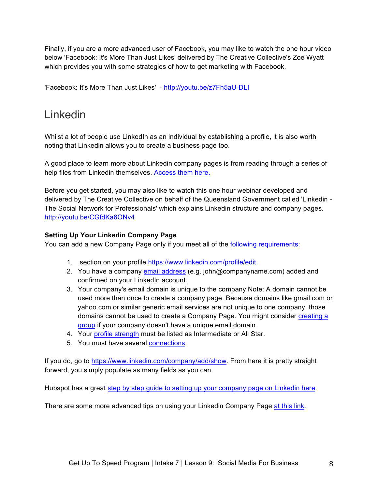Finally, if you are a more advanced user of Facebook, you may like to watch the one hour video below 'Facebook: It's More Than Just Likes' delivered by The Creative Collective's Zoe Wyatt which provides you with some strategies of how to get marketing with Facebook.

'Facebook: It's More Than Just Likes' - http://youtu.be/z7Fh5aU-DLI

## Linkedin

Whilst a lot of people use LinkedIn as an individual by establishing a profile, it is also worth noting that Linkedin allows you to create a business page too.

A good place to learn more about Linkedin company pages is from reading through a series of help files from Linkedin themselves. Access them here.

Before you get started, you may also like to watch this one hour webinar developed and delivered by The Creative Collective on behalf of the Queensland Government called 'Linkedin - The Social Network for Professionals' which explains Linkedin structure and company pages. http://youtu.be/CGfdKa6ONv4

### **Setting Up Your Linkedin Company Page**

You can add a new Company Page only if you meet all of the **following requirements:** 

- 1. section on your profile https://www.linkedin.com/profile/edit
- 2. You have a company email address (e.g. john@companyname.com) added and confirmed on your LinkedIn account.
- 3. Your company's email domain is unique to the company.Note: A domain cannot be used more than once to create a company page. Because domains like gmail.com or yahoo.com or similar generic email services are not unique to one company, those domains cannot be used to create a Company Page. You might consider creating a group if your company doesn't have a unique email domain.
- 4. Your profile strength must be listed as Intermediate or All Star.
- 5. You must have several connections.

If you do, go to https://www.linkedin.com/company/add/show. From here it is pretty straight forward, you simply populate as many fields as you can.

Hubspot has a great step by step guide to setting up your company page on Linkedin here.

There are some more advanced tips on using your Linkedin Company Page at this link.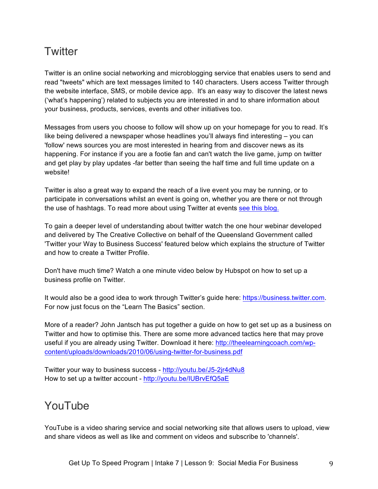## **Twitter**

Twitter is an online social networking and microblogging service that enables users to send and read "tweets" which are text messages limited to 140 characters. Users access Twitter through the website interface, SMS, or mobile device app. It's an easy way to discover the latest news ('what's happening') related to subjects you are interested in and to share information about your business, products, services, events and other initiatives too.

Messages from users you choose to follow will show up on your homepage for you to read. It's like being delivered a newspaper whose headlines you'll always find interesting – you can 'follow' news sources you are most interested in hearing from and discover news as its happening. For instance if you are a footie fan and can't watch the live game, jump on twitter and get play by play updates -far better than seeing the half time and full time update on a website!

Twitter is also a great way to expand the reach of a live event you may be running, or to participate in conversations whilst an event is going on, whether you are there or not through the use of hashtags. To read more about using Twitter at events see this blog.

To gain a deeper level of understanding about twitter watch the one hour webinar developed and delivered by The Creative Collective on behalf of the Queensland Government called 'Twitter your Way to Business Success' featured below which explains the structure of Twitter and how to create a Twitter Profile.

Don't have much time? Watch a one minute video below by Hubspot on how to set up a business profile on Twitter.

It would also be a good idea to work through Twitter's guide here: https://business.twitter.com. For now just focus on the "Learn The Basics" section.

More of a reader? John Jantsch has put together a guide on how to get set up as a business on Twitter and how to optimise this. There are some more advanced tactics here that may prove useful if you are already using Twitter. Download it here: http://theelearningcoach.com/wpcontent/uploads/downloads/2010/06/using-twitter-for-business.pdf

Twitter your way to business success - http://youtu.be/J5-2jr4dNu8 How to set up a twitter account - http://youtu.be/IUBrvEfQ5aE

## YouTube

YouTube is a video sharing service and social networking site that allows users to upload, view and share videos as well as like and comment on videos and subscribe to 'channels'.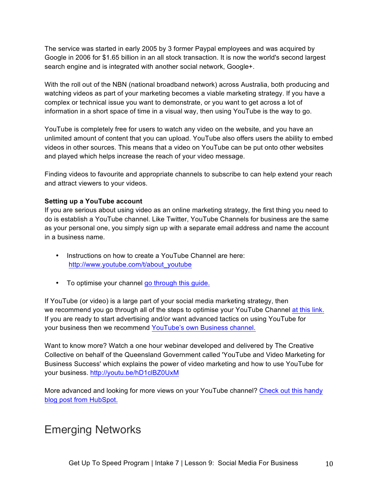The service was started in early 2005 by 3 former Paypal employees and was acquired by Google in 2006 for \$1.65 billion in an all stock transaction. It is now the world's second largest search engine and is integrated with another social network, Google+.

With the roll out of the NBN (national broadband network) across Australia, both producing and watching videos as part of your marketing becomes a viable marketing strategy. If you have a complex or technical issue you want to demonstrate, or you want to get across a lot of information in a short space of time in a visual way, then using YouTube is the way to go.

YouTube is completely free for users to watch any video on the website, and you have an unlimited amount of content that you can upload. YouTube also offers users the ability to embed videos in other sources. This means that a video on YouTube can be put onto other websites and played which helps increase the reach of your video message.

Finding videos to favourite and appropriate channels to subscribe to can help extend your reach and attract viewers to your videos.

### **Setting up a YouTube account**

If you are serious about using video as an online marketing strategy, the first thing you need to do is establish a YouTube channel. Like Twitter, YouTube Channels for business are the same as your personal one, you simply sign up with a separate email address and name the account in a business name.

- Instructions on how to create a YouTube Channel are here: http://www.youtube.com/t/about\_youtube
- To optimise your channel go through this guide.

If YouTube (or video) is a large part of your social media marketing strategy, then we recommend you go through all of the steps to optimise your YouTube Channel at this link. If you are ready to start advertising and/or want advanced tactics on using YouTube for your business then we recommend YouTube's own Business channel.

Want to know more? Watch a one hour webinar developed and delivered by The Creative Collective on behalf of the Queensland Government called 'YouTube and Video Marketing for Business Success' which explains the power of video marketing and how to use YouTube for your business. http://youtu.be/hD1clBZ0UxM

More advanced and looking for more views on your YouTube channel? Check out this handy blog post from HubSpot.

### Emerging Networks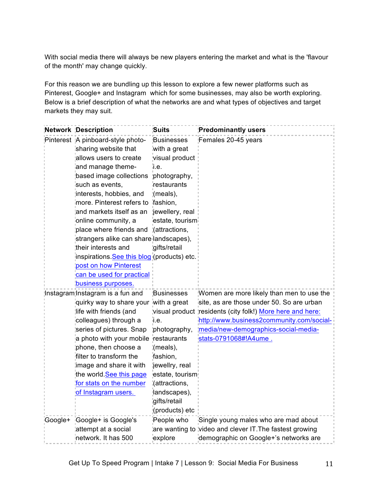With social media there will always be new players entering the market and what is the 'flavour of the month' may change quickly.

For this reason we are bundling up this lesson to explore a few newer platforms such as Pinterest, Google+ and Instagram which for some businesses, may also be worth exploring. Below is a brief description of what the networks are and what types of objectives and target markets they may suit.

|                                                                                                                              | Network Description                             | Suits                                     | <b>Predominantly users</b>                                |
|------------------------------------------------------------------------------------------------------------------------------|-------------------------------------------------|-------------------------------------------|-----------------------------------------------------------|
|                                                                                                                              | Pinterest A pinboard-style photo-               | Businesses                                | Females 20-45 years                                       |
|                                                                                                                              | sharing website that                            | with a great                              |                                                           |
|                                                                                                                              | allows users to create                          | visual product                            |                                                           |
|                                                                                                                              | and manage theme-                               | ï.е.                                      |                                                           |
|                                                                                                                              | based image collections                         | photography,                              |                                                           |
|                                                                                                                              | such as events,                                 | restaurants                               |                                                           |
|                                                                                                                              | interests, hobbies, and                         | :(meals),                                 |                                                           |
|                                                                                                                              | more. Pinterest refers to fashion,              |                                           |                                                           |
|                                                                                                                              | and markets itself as an                        | jewellery, real                           |                                                           |
|                                                                                                                              | ionline community, a                            | estate, tourism                           |                                                           |
|                                                                                                                              | place where friends and ¦(attractions,          |                                           |                                                           |
|                                                                                                                              | strangers alike can share landscapes),          |                                           |                                                           |
|                                                                                                                              | their interests and                             | gifts/retail                              |                                                           |
|                                                                                                                              | inspirations See this blog (products) etc.      |                                           |                                                           |
|                                                                                                                              | post on how Pinterest                           |                                           |                                                           |
| can be used for practical<br>business purposes.                                                                              |                                                 |                                           |                                                           |
|                                                                                                                              |                                                 |                                           |                                                           |
| Instagram Instagram is a fun and<br>quirky way to share your with a great<br>life with friends (and<br>colleagues) through a | <b>Businesses</b>                               | Women are more likely than men to use the |                                                           |
|                                                                                                                              |                                                 | site, as are those under 50. So are urban |                                                           |
|                                                                                                                              |                                                 | і.е.<br>photography,                      | visual product residents (city folk!) More here and here: |
|                                                                                                                              |                                                 |                                           | http://www.business2community.com/social-                 |
|                                                                                                                              | series of pictures. Snap                        |                                           | media/new-demographics-social-media-                      |
|                                                                                                                              | a photo with your mobile restaurants            |                                           | stats-0791068#!A4ume.                                     |
|                                                                                                                              | phone, then choose a<br>filter to transform the | (meals),                                  |                                                           |
|                                                                                                                              | image and share it with                         | fashion,<br>jewellry, real                |                                                           |
|                                                                                                                              | the world See this page                         | estate, tourism                           |                                                           |
|                                                                                                                              | for stats on the number                         | <i>d</i> ttractions,                      |                                                           |
|                                                                                                                              | of Instagram users.                             | landscapes),                              |                                                           |
|                                                                                                                              |                                                 | gifts/retail                              |                                                           |
|                                                                                                                              |                                                 | (products) etc                            |                                                           |
| Google+                                                                                                                      | Google+ is Google's                             | People who                                | Single young males who are mad about                      |
|                                                                                                                              | attempt at a social                             |                                           | are wanting to video and clever IT. The fastest growing   |
|                                                                                                                              | network. It has 500                             | explore                                   | demographic on Google+'s networks are                     |
|                                                                                                                              |                                                 |                                           |                                                           |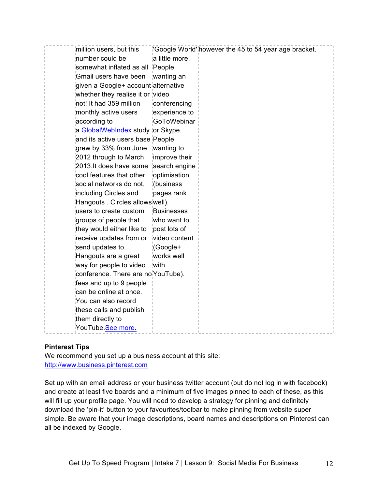| these calls and publish<br>them directly to |
|---------------------------------------------|
|---------------------------------------------|

### **Pinterest Tips**

We recommend you set up a business account at this site: http://www.business.pinterest.com

Set up with an email address or your business twitter account (but do not log in with facebook) and create at least five boards and a minimum of five images pinned to each of these, as this will fill up your profile page. You will need to develop a strategy for pinning and definitely download the 'pin-it' button to your favourites/toolbar to make pinning from website super simple. Be aware that your image descriptions, board names and descriptions on Pinterest can all be indexed by Google.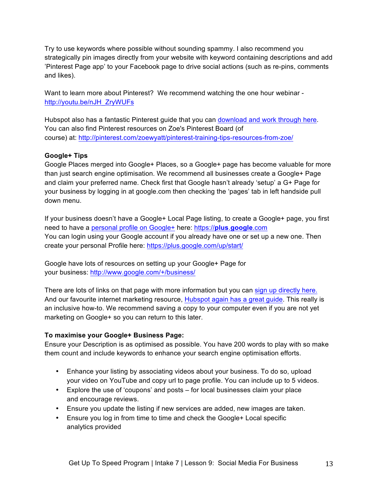Try to use keywords where possible without sounding spammy. I also recommend you strategically pin images directly from your website with keyword containing descriptions and add 'Pinterest Page app' to your Facebook page to drive social actions (such as re-pins, comments and likes).

Want to learn more about Pinterest? We recommend watching the one hour webinar http://youtu.be/nJH\_ZryWUFs

Hubspot also has a fantastic Pinterest guide that you can download and work through here. You can also find Pinterest resources on Zoe's Pinterest Board (of course) at: http://pinterest.com/zoewyatt/pinterest-training-tips-resources-from-zoe/

### **Google+ Tips**

Google Places merged into Google+ Places, so a Google+ page has become valuable for more than just search engine optimisation. We recommend all businesses create a Google+ Page and claim your preferred name. Check first that Google hasn't already 'setup' a G+ Page for your business by logging in at google.com then checking the 'pages' tab in left handside pull down menu.

If your business doesn't have a Google+ Local Page listing, to create a Google+ page, you first need to have a personal profile on Google+ here: https://**plus**.**google**.com You can login using your Google account if you already have one or set up a new one. Then create your personal Profile here: https://plus.google.com/up/start/

Google have lots of resources on setting up your Google+ Page for your business: http://www.google.com/+/business/

There are lots of links on that page with more information but you can sign up directly here. And our favourite internet marketing resource, Hubspot again has a great guide. This really is an inclusive how-to. We recommend saving a copy to your computer even if you are not yet marketing on Google+ so you can return to this later.

### **To maximise your Google+ Business Page:**

Ensure your Description is as optimised as possible. You have 200 words to play with so make them count and include keywords to enhance your search engine optimisation efforts.

- Enhance your listing by associating videos about your business. To do so, upload your video on YouTube and copy url to page profile. You can include up to 5 videos.
- Explore the use of 'coupons' and posts for local businesses claim your place and encourage reviews.
- Ensure you update the listing if new services are added, new images are taken.
- Ensure you log in from time to time and check the Google+ Local specific analytics provided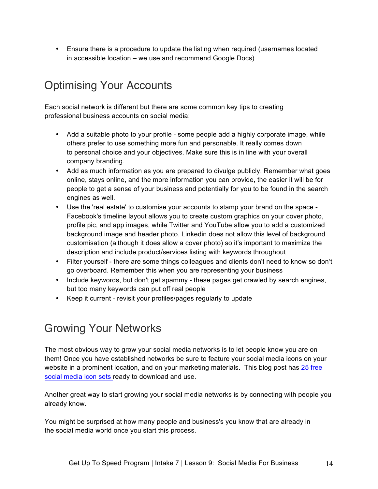• Ensure there is a procedure to update the listing when required (usernames located in accessible location – we use and recommend Google Docs)

# Optimising Your Accounts

Each social network is different but there are some common key tips to creating professional business accounts on social media:

- Add a suitable photo to your profile some people add a highly corporate image, while others prefer to use something more fun and personable. It really comes down to personal choice and your objectives. Make sure this is in line with your overall company branding.
- Add as much information as you are prepared to divulge publicly. Remember what goes online, stays online, and the more information you can provide, the easier it will be for people to get a sense of your business and potentially for you to be found in the search engines as well.
- Use the 'real estate' to customise your accounts to stamp your brand on the space Facebook's timeline layout allows you to create custom graphics on your cover photo, profile pic, and app images, while Twitter and YouTube allow you to add a customized background image and header photo. Linkedin does not allow this level of background customisation (although it does allow a cover photo) so it's important to maximize the description and include product/services listing with keywords throughout
- Filter yourself there are some things colleagues and clients don't need to know so don't go overboard. Remember this when you are representing your business
- Include keywords, but don't get spammy these pages get crawled by search engines, but too many keywords can put off real people
- Keep it current revisit your profiles/pages regularly to update

# Growing Your Networks

The most obvious way to grow your social media networks is to let people know you are on them! Once you have established networks be sure to feature your social media icons on your website in a prominent location, and on your marketing materials. This blog post has 25 free social media icon sets ready to download and use.

Another great way to start growing your social media networks is by connecting with people you already know.

You might be surprised at how many people and business's you know that are already in the social media world once you start this process.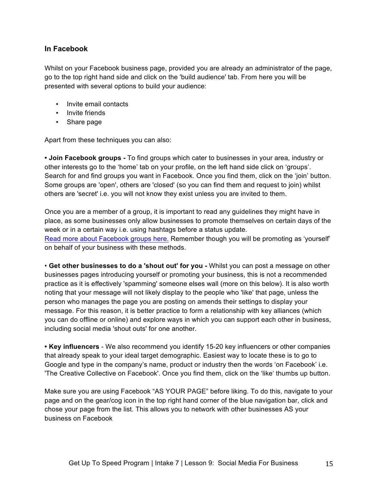### **In Facebook**

Whilst on your Facebook business page, provided you are already an administrator of the page, go to the top right hand side and click on the 'build audience' tab. From here you will be presented with several options to build your audience:

- Invite email contacts
- Invite friends
- Share page

Apart from these techniques you can also:

**• Join Facebook groups -** To find groups which cater to businesses in your area, industry or other interests go to the 'home' tab on your profile, on the left hand side click on 'groups'. Search for and find groups you want in Facebook. Once you find them, click on the 'join' button. Some groups are 'open', others are 'closed' (so you can find them and request to join) whilst others are 'secret' i.e. you will not know they exist unless you are invited to them.

Once you are a member of a group, it is important to read any guidelines they might have in place, as some businesses only allow businesses to promote themselves on certain days of the week or in a certain way i.e. using hashtags before a status update. Read more about Facebook groups here. Remember though you will be promoting as 'yourself' on behalf of your business with these methods.

• **Get other businesses to do a 'shout out' for you -** Whilst you can post a message on other businesses pages introducing yourself or promoting your business, this is not a recommended practice as it is effectively 'spamming' someone elses wall (more on this below). It is also worth noting that your message will not likely display to the people who 'like' that page, unless the person who manages the page you are posting on amends their settings to display your message. For this reason, it is better practice to form a relationship with key alliances (which you can do offline or online) and explore ways in which you can support each other in business, including social media 'shout outs' for one another.

**• Key influencers** - We also recommend you identify 15-20 key influencers or other companies that already speak to your ideal target demographic. Easiest way to locate these is to go to Google and type in the company's name, product or industry then the words 'on Facebook' i.e. 'The Creative Collective on Facebook'. Once you find them, click on the 'like' thumbs up button.

Make sure you are using Facebook "AS YOUR PAGE" before liking. To do this, navigate to your page and on the gear/cog icon in the top right hand corner of the blue navigation bar, click and chose your page from the list. This allows you to network with other businesses AS your business on Facebook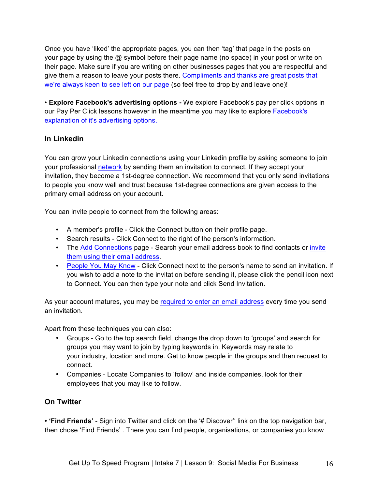Once you have 'liked' the appropriate pages, you can then 'tag' that page in the posts on your page by using the @ symbol before their page name (no space) in your post or write on their page. Make sure if you are writing on other businesses pages that you are respectful and give them a reason to leave your posts there. Compliments and thanks are great posts that we're always keen to see left on our page (so feel free to drop by and leave one)!

• **Explore Facebook's advertising options -** We explore Facebook's pay per click options in our Pay Per Click lessons however in the meantime you may like to explore Facebook's explanation of it's advertising options.

### **In Linkedin**

You can grow your Linkedin connections using your Linkedin profile by asking someone to join your professional network by sending them an invitation to connect. If they accept your invitation, they become a 1st-degree connection. We recommend that you only send invitations to people you know well and trust because 1st-degree connections are given access to the primary email address on your account.

You can invite people to connect from the following areas:

- A member's profile Click the Connect button on their profile page.
- Search results Click Connect to the right of the person's information.
- The Add Connections page Search your email address book to find contacts or invite them using their email address.
- People You May Know Click Connect next to the person's name to send an invitation. If you wish to add a note to the invitation before sending it, please click the pencil icon next to Connect. You can then type your note and click Send Invitation.

As your account matures, you may be required to enter an email address every time you send an invitation.

Apart from these techniques you can also:

- Groups Go to the top search field, change the drop down to 'groups' and search for groups you may want to join by typing keywords in. Keywords may relate to your industry, location and more. Get to know people in the groups and then request to connect.
- Companies Locate Companies to 'follow' and inside companies, look for their employees that you may like to follow.

### **On Twitter**

**• 'Find Friends'** - Sign into Twitter and click on the '# Discover'' link on the top navigation bar, then chose 'Find Friends' . There you can find people, organisations, or companies you know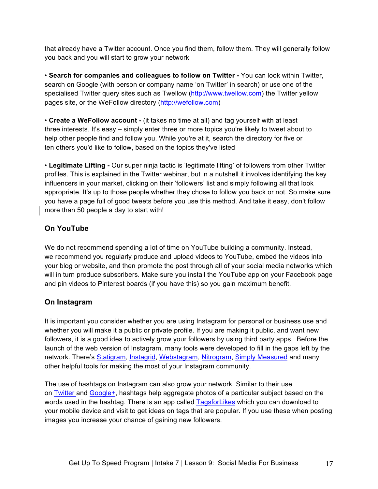that already have a Twitter account. Once you find them, follow them. They will generally follow you back and you will start to grow your network

• **Search for companies and colleagues to follow on Twitter -** You can look within Twitter, search on Google (with person or company name 'on Twitter' in search) or use one of the specialised Twitter query sites such as Twellow (http://www.twellow.com) the Twitter yellow pages site, or the WeFollow directory (http://wefollow.com)

• **Create a WeFollow account -** (it takes no time at all) and tag yourself with at least three interests. It's easy – simply enter three or more topics you're likely to tweet about to help other people find and follow you. While you're at it, search the directory for five or ten others you'd like to follow, based on the topics they've listed

• **Legitimate Lifting -** Our super ninja tactic is 'legitimate lifting' of followers from other Twitter profiles. This is explained in the Twitter webinar, but in a nutshell it involves identifying the key influencers in your market, clicking on their 'followers' list and simply following all that look appropriate. It's up to those people whether they chose to follow you back or not. So make sure you have a page full of good tweets before you use this method. And take it easy, don't follow more than 50 people a day to start with!

### **On YouTube**

We do not recommend spending a lot of time on YouTube building a community. Instead, we recommend you regularly produce and upload videos to YouTube, embed the videos into your blog or website, and then promote the post through all of your social media networks which will in turn produce subscribers. Make sure you install the YouTube app on your Facebook page and pin videos to Pinterest boards (if you have this) so you gain maximum benefit.

### **On Instagram**

It is important you consider whether you are using Instagram for personal or business use and whether you will make it a public or private profile. If you are making it public, and want new followers, it is a good idea to actively grow your followers by using third party apps. Before the launch of the web version of Instagram, many tools were developed to fill in the gaps left by the network. There's Statigram, Instagrid, Webstagram, Nitrogram, Simply Measured and many other helpful tools for making the most of your Instagram community.

The use of hashtags on Instagram can also grow your network. Similar to their use on Twitter and Google+, hashtags help aggregate photos of a particular subject based on the words used in the hashtag. There is an app called TagsforLikes which you can download to your mobile device and visit to get ideas on tags that are popular. If you use these when posting images you increase your chance of gaining new followers.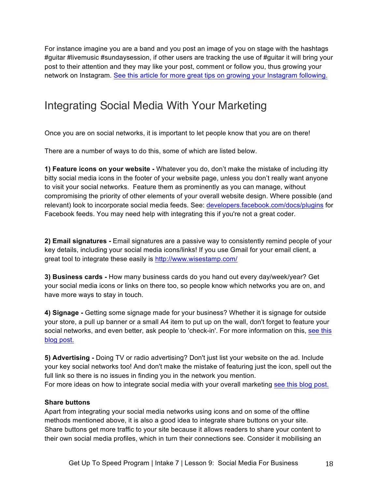For instance imagine you are a band and you post an image of you on stage with the hashtags #guitar #livemusic #sundaysession, if other users are tracking the use of #guitar it will bring your post to their attention and they may like your post, comment or follow you, thus growing your network on Instagram. See this article for more great tips on growing your Instagram following.

## Integrating Social Media With Your Marketing

Once you are on social networks, it is important to let people know that you are on there!

There are a number of ways to do this, some of which are listed below.

**1) Feature icons on your website -** Whatever you do, don't make the mistake of including itty bitty social media icons in the footer of your website page, unless you don't really want anyone to visit your social networks. Feature them as prominently as you can manage, without compromising the priority of other elements of your overall website design. Where possible (and relevant) look to incorporate social media feeds. See: developers.facebook.com/docs/plugins for Facebook feeds. You may need help with integrating this if you're not a great coder.

**2) Email signatures -** Email signatures are a passive way to consistently remind people of your key details, including your social media icons/links! If you use Gmail for your email client, a great tool to integrate these easily is http://www.wisestamp.com/

**3) Business cards -** How many business cards do you hand out every day/week/year? Get your social media icons or links on there too, so people know which networks you are on, and have more ways to stay in touch.

**4) Signage -** Getting some signage made for your business? Whether it is signage for outside your store, a pull up banner or a small A4 item to put up on the wall, don't forget to feature your social networks, and even better, ask people to 'check-in'. For more information on this, see this blog post.

**5) Advertising -** Doing TV or radio advertising? Don't just list your website on the ad. Include your key social networks too! And don't make the mistake of featuring just the icon, spell out the full link so there is no issues in finding you in the network you mention. For more ideas on how to integrate social media with your overall marketing see this blog post.

#### **Share buttons**

Apart from integrating your social media networks using icons and on some of the offline methods mentioned above, it is also a good idea to integrate share buttons on your site. Share buttons get more traffic to your site because it allows readers to share your content to their own social media profiles, which in turn their connections see. Consider it mobilising an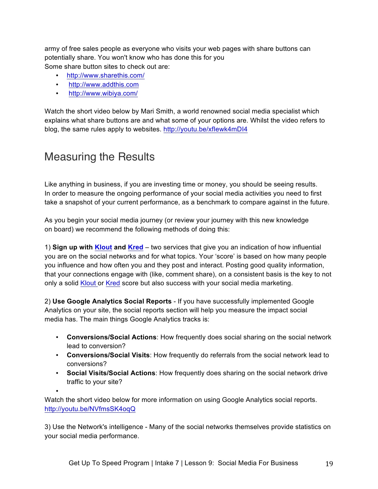army of free sales people as everyone who visits your web pages with share buttons can potentially share. You won't know who has done this for you Some share button sites to check out are:

- http://www.sharethis.com/
- http://www.addthis.com
- http://www.wibiya.com/

Watch the short video below by Mari Smith, a world renowned social media specialist which explains what share buttons are and what some of your options are. Whilst the video refers to blog, the same rules apply to websites. http://youtu.be/xfIewk4mDI4

### Measuring the Results

Like anything in business, if you are investing time or money, you should be seeing results. In order to measure the ongoing performance of your social media activities you need to first take a snapshot of your current performance, as a benchmark to compare against in the future.

As you begin your social media journey (or review your journey with this new knowledge on board) we recommend the following methods of doing this:

1) **Sign up with Klout and Kred** – two services that give you an indication of how influential you are on the social networks and for what topics. Your 'score' is based on how many people you influence and how often you and they post and interact. Posting good quality information, that your connections engage with (like, comment share), on a consistent basis is the key to not only a solid Klout or Kred score but also success with your social media marketing.

2) **Use Google Analytics Social Reports** - If you have successfully implemented Google Analytics on your site, the social reports section will help you measure the impact social media has. The main things Google Analytics tracks is:

- **Conversions/Social Actions**: How frequently does social sharing on the social network lead to conversion?
- **Conversions/Social Visits**: How frequently do referrals from the social network lead to conversions?
- **Social Visits/Social Actions**: How frequently does sharing on the social network drive traffic to your site?

•

Watch the short video below for more information on using Google Analytics social reports. http://youtu.be/NVfmsSK4oqQ

3) Use the Network's intelligence - Many of the social networks themselves provide statistics on your social media performance.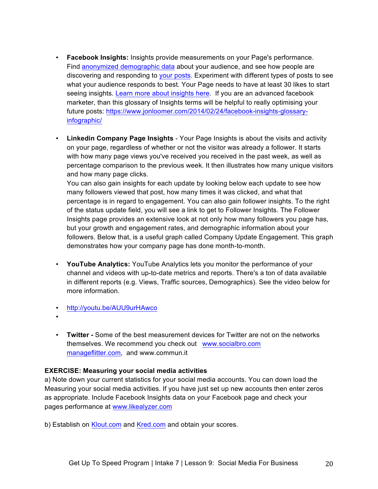- **Facebook Insights:** Insights provide measurements on your Page's performance. Find anonymized demographic data about your audience, and see how people are discovering and responding to your posts. Experiment with different types of posts to see what your audience responds to best. Your Page needs to have at least 30 likes to start seeing insights. Learn more about insights here. If you are an advanced facebook marketer, than this glossary of Insights terms will be helpful to really optimising your future posts: https://www.jonloomer.com/2014/02/24/facebook-insights-glossaryinfographic/
- **Linkedin Company Page Insights** Your Page Insights is about the visits and activity on your page, regardless of whether or not the visitor was already a follower. It starts with how many page views you've received you received in the past week, as well as percentage comparison to the previous week. It then illustrates how many unique visitors and how many page clicks.

You can also gain insights for each update by looking below each update to see how many followers viewed that post, how many times it was clicked, and what that percentage is in regard to engagement. You can also gain follower insights. To the right of the status update field, you will see a link to get to Follower Insights. The Follower Insights page provides an extensive look at not only how many followers you page has, but your growth and engagement rates, and demographic information about your followers. Below that, is a useful graph called Company Update Engagement. This graph demonstrates how your company page has done month-to-month.

- **YouTube Analytics:** YouTube Analytics lets you monitor the performance of your channel and videos with up-to-date metrics and reports. There's a ton of data available in different reports (e.g. Views, Traffic sources, Demographics). See the video below for more information.
- http://youtu.be/AUU9urHAwco
- •
- **Twitter -** Some of the best measurement devices for Twitter are not on the networks themselves. We recommend you check out www.socialbro.com manageflitter.com, and www.commun.it

#### **EXERCISE: Measuring your social media activities**

a) Note down your current statistics for your social media accounts. You can down load the Measuring your social media activities. If you have just set up new accounts then enter zeros as appropriate. Include Facebook Insights data on your Facebook page and check your pages performance at www.likealyzer.com

b) Establish on Klout.com and Kred.com and obtain your scores.